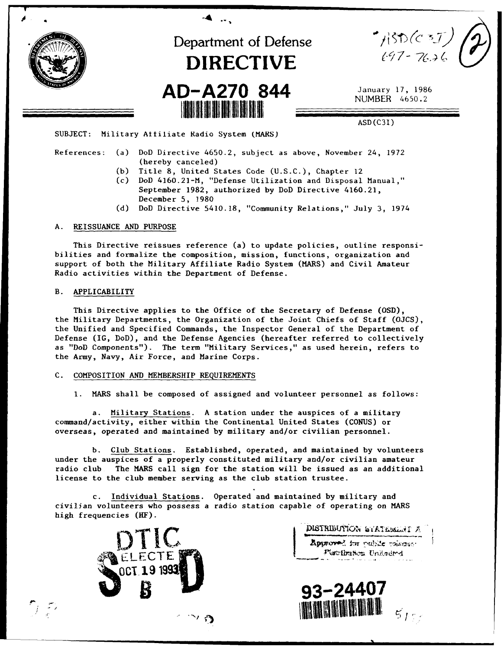

References: (a) DoD Directive 4650.2, subject as above, November 24, 1972 (hereby canceled)

- (b) Title 8, United States Code (U.S.C.), Chapter 12
- (c) DoD 4160.21-M, "Defense Utilization and Disposal Manual," September 1982, authorized by DoD Directive 4160.21, December 5, 1980
- (d) DoD Directive 5410.18, "Community Relations," July 3, 1974

## A. REISSUANCE AND PURPOSE

This Directive reissues reference (a) to update policies, outline responsibilities and formalize the composition, mission, functions, organization and support of both the Military Affiliate Radio System (MARS) and Civil Amateur Radio activities within the Department of Defense.

#### B. APPLICABILITY

 $\gamma$  to

This Directive applies to the Office of the Secretary of Defense (OSD), the Military Departments, the Organization of the Joint Chiefs of Staff (OJCS), the Unified and Specified Commands, the Inspector General of the Department of Defense (IG, DoD), and the Defense Agencies (hereafter referred to collectively as "DoD Components"). The term "Military Services," as used herein, refers to the Army, Navy, Air Force, and Marine Corps.

#### C. COMPOSITION AND MEMBERSHIP REQUIREMENTS

**1.** MARS shall be composed of assigned and volunteer personnel as follows:

a. Military Stations. A station under the auspices of a military command/activity, either within the Continental United States (CONUS) or overseas, operated and maintained by military and/or civilian personnel.

b. Club Stations. Established, operated, and maintained by volunteers under the auspices of a properly constituted military and/or civilian amateur radio club The MARS call sign for the station will be issued as an additional license to the club member serving as the club station trustee.

c. Individual Stations. Operated and maintained by military and civilian volunteers who possess a radio station capable of operating on MARS high frequencies (HF).



DISTRIBUTION STATESMALT A

Approved for ouble voiceso. Placibation Unitedral

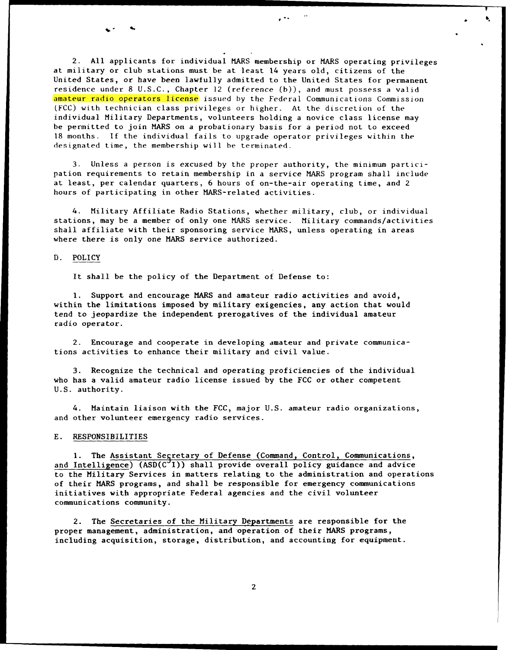2. All applicants for individual MARS membership or MARS operating privileges at military or club stations must be at least 14 years old, citizens of the United States, or have been lawfully admitted to the United States for permanent residence under **8** U.S.C., Chapter 12 (reference (b)), and must possess a valid amateur radio operators license issued by the Federal Communications Commission (FCC) with technician class privileges or higher. At the discretion of the individual Military Departments, volunteers holding a novice class license may be permitted to join MARS on a probationary basis for a period not to exceed 18 months. If the individual fails to upgrade operator privileges within the designated time, the membership will be terminated.

3. Unless a person is excused by the proper authority, the minimum participation requirements to retain membership in a service MARS program shall include at least, per calendar quarters, 6 hours of on-the-air operating time, and 2 hours of participating in other MARS-related activities.

4. Military Affiliate Radio Stations, whether military, club, or individual stations, may be a member of only one MARS service. Military commands/activities shall affiliate with their sponsoring service MARS, unless operating in areas where there is only one MARS service authorized.

## D. POLICY

It shall be the policy of the Department of Defense to:

**1.** Support and encourage MARS and amateur radio activities and avoid, within the limitations imposed by military exigencies, any action that would tend to jeopardize the independent prerogatives of the individual amateur radio operator.

2. Encourage and cooperate in developing amateur and private communications activities to enhance their military and civil value.

3. Recognize the technical and operating proficiencies of the individual who has a valid amateur radio license issued by the FCC or other competent U.S. authority.

4. Maintain liaison with the FCC, major U.S. amateur radio organizations, and other volunteer emergency radio services.

#### E. RESPONSIBILITIES

1. The Assistant Segretary of Defense (Command, Control, Communications, and Intelligence)  $(ASD(C<sup>o</sup>I))$  shall provide overall policy guidance and advice to the Military Services in matters relating to the administration and operations of their MARS programs, and shall be responsible for emergency communications initiatives with appropriate Federal agencies and the civil volunteer communications community.

2. The Secretaries of the Military Departments are responsible for the proper management, administration, and operation of their MARS programs, including acquisition, storage, distribution, and accounting for equipment.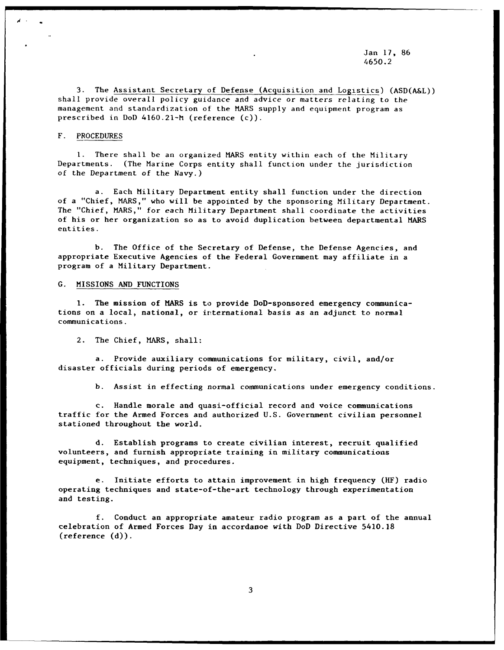Jan 17, 86 4650.2

3. The Assistant Secretary of Defense (Acquisition and Logistics) (ASD(A&L)) shall provide overall policy guidance and advice or matters relating to the management and standardization of the MARS supply and equipment program as prescribed in DoD 4160.21-h (reference (c)).

## F. PROCEDURES

1. There shall be an organized MARS entity within each of the Military Departments. (The Marine Corps entity shall function under the jurisdiction of the Department of the Navy.)

a. Each Military Department entity shall function under the direction of a "Chief, MARS," who will be appointed by the sponsoring Military Department. The "Chief, MARS," for each Military Department shall coordinate the activities of his or her organization so as to avoid duplication between departmental MARS entities.

b. The Office of the Secretary of Defense, the Defense Agencies, and appropriate Executive Agencies of the Federal Government may affiliate in a program of a Military Department.

### G. MISSIONS AND FUNCTIONS

**1.** The mission of MARS is to provide DoD-sponsored emergency communications on a local, national, or irternational basis as an adjunct to normal communications.

2. The Chief, MARS, shall:

a. Provide auxiliary communications for military, civil, and/or disaster officials during periods of emergency.

b. Assist in effecting normal communications under emergency conditions.

c. Handle morale and quasi-official record and voice communications traffic for the Armed Forces and authorized U.S. Government civilian personnel stationed throughout the world.

d. Establish programs to create civilian interest, recruit qualified volunteers, and furnish appropriate training in military communications equipment, techniques, and procedures.

e. Initiate efforts to attain improvement in high frequency (HF) radio operating techniques and state-of-the-art technology through experimentation and testing.

f. Conduct an appropriate amateur radio program as a part of the annual celebration of Armed Forces Day in accordanoe with DoD Directive 5410.18 (reference (d)).

3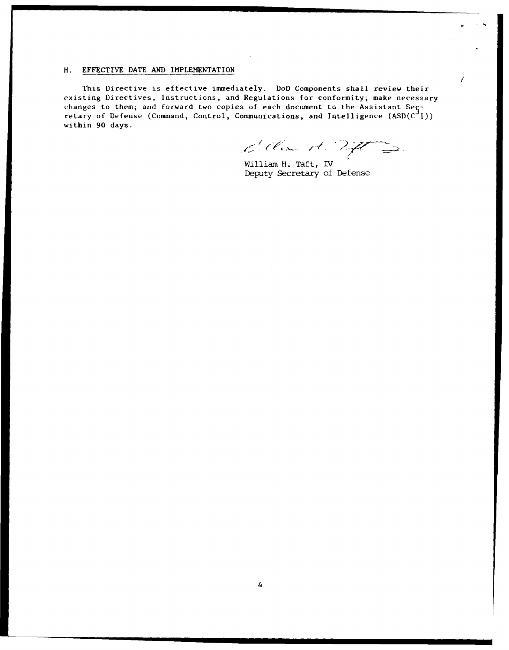# H. EFFECTIVE DATE AND IMPLEMENTATION

This Directive is effective immediately. DoD Components shall review their existing Directives, Instructions, and Regulations for conformity; make necessary changes to them; and forward two copies of each document to the Assistant Seçretary of Defense (Command, Control, Communications, and Intelligence  $(\mathtt{ASD(C}^3\mathtt{I}))$ within 90 days.

dilla it. 27 2.

William H. Taft, IV Deputy Secretary of Defense